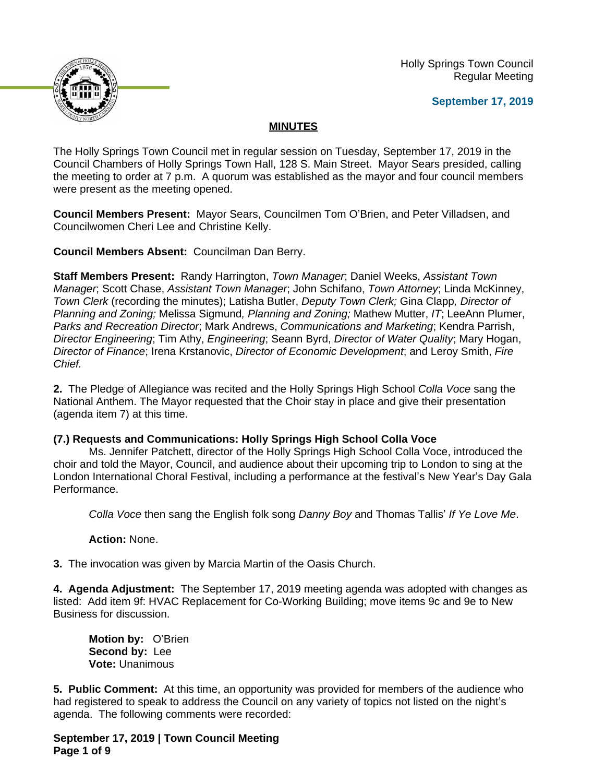Holly Springs Town Council Regular Meeting





# **MINUTES**

The Holly Springs Town Council met in regular session on Tuesday, September 17, 2019 in the Council Chambers of Holly Springs Town Hall, 128 S. Main Street. Mayor Sears presided, calling the meeting to order at 7 p.m. A quorum was established as the mayor and four council members were present as the meeting opened.

**Council Members Present:** Mayor Sears, Councilmen Tom O'Brien, and Peter Villadsen, and Councilwomen Cheri Lee and Christine Kelly.

**Council Members Absent:** Councilman Dan Berry.

**Staff Members Present:** Randy Harrington, *Town Manager*; Daniel Weeks, *Assistant Town Manager*; Scott Chase, *Assistant Town Manager*; John Schifano, *Town Attorney*; Linda McKinney, *Town Clerk* (recording the minutes); Latisha Butler, *Deputy Town Clerk;* Gina Clapp*, Director of Planning and Zoning;* Melissa Sigmund*, Planning and Zoning;* Mathew Mutter, *IT*; LeeAnn Plumer, *Parks and Recreation Director*; Mark Andrews, *Communications and Marketing*; Kendra Parrish, *Director Engineering*; Tim Athy, *Engineering*; Seann Byrd, *Director of Water Quality*; Mary Hogan, *Director of Finance*; Irena Krstanovic, *Director of Economic Development*; and Leroy Smith, *Fire Chief.*

**2.** The Pledge of Allegiance was recited and the Holly Springs High School *Colla Voce* sang the National Anthem. The Mayor requested that the Choir stay in place and give their presentation (agenda item 7) at this time.

# **(7.) Requests and Communications: Holly Springs High School Colla Voce**

Ms. Jennifer Patchett, director of the Holly Springs High School Colla Voce, introduced the choir and told the Mayor, Council, and audience about their upcoming trip to London to sing at the London International Choral Festival, including a performance at the festival's New Year's Day Gala Performance.

*Colla Voce* then sang the English folk song *Danny Boy* and Thomas Tallis' *If Ye Love Me*.

# **Action:** None.

**3.** The invocation was given by Marcia Martin of the Oasis Church.

**4. Agenda Adjustment:** The September 17, 2019 meeting agenda was adopted with changes as listed: Add item 9f: HVAC Replacement for Co-Working Building; move items 9c and 9e to New Business for discussion.

**Motion by:** O'Brien **Second by:** Lee **Vote:** Unanimous

**5. Public Comment:** At this time, an opportunity was provided for members of the audience who had registered to speak to address the Council on any variety of topics not listed on the night's agenda. The following comments were recorded:

**September 17, 2019 | Town Council Meeting Page 1 of 9**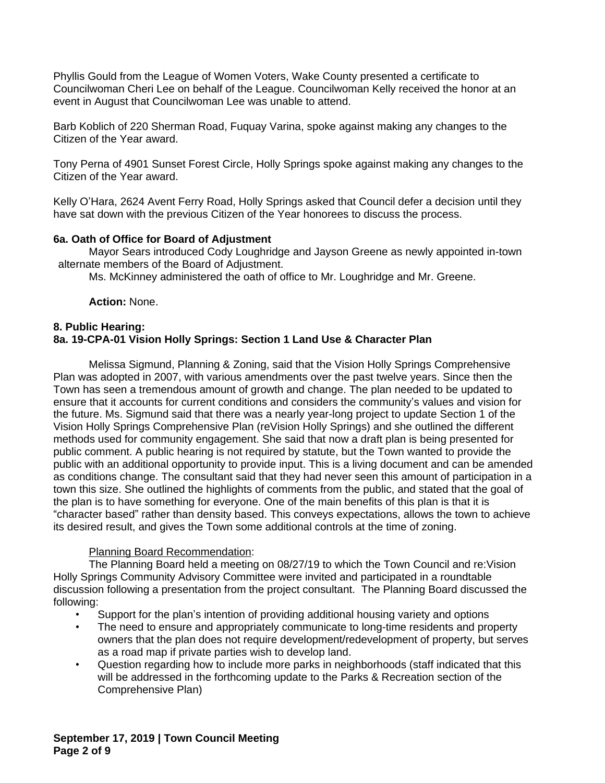Phyllis Gould from the League of Women Voters, Wake County presented a certificate to Councilwoman Cheri Lee on behalf of the League. Councilwoman Kelly received the honor at an event in August that Councilwoman Lee was unable to attend.

Barb Koblich of 220 Sherman Road, Fuquay Varina, spoke against making any changes to the Citizen of the Year award.

Tony Perna of 4901 Sunset Forest Circle, Holly Springs spoke against making any changes to the Citizen of the Year award.

Kelly O'Hara, 2624 Avent Ferry Road, Holly Springs asked that Council defer a decision until they have sat down with the previous Citizen of the Year honorees to discuss the process.

## **6a. Oath of Office for Board of Adjustment**

Mayor Sears introduced Cody Loughridge and Jayson Greene as newly appointed in-town alternate members of the Board of Adjustment.

Ms. McKinney administered the oath of office to Mr. Loughridge and Mr. Greene.

**Action:** None.

## **8. Public Hearing: 8a. 19-CPA-01 Vision Holly Springs: Section 1 Land Use & Character Plan**

Melissa Sigmund, Planning & Zoning, said that the Vision Holly Springs Comprehensive Plan was adopted in 2007, with various amendments over the past twelve years. Since then the Town has seen a tremendous amount of growth and change. The plan needed to be updated to ensure that it accounts for current conditions and considers the community's values and vision for the future. Ms. Sigmund said that there was a nearly year-long project to update Section 1 of the Vision Holly Springs Comprehensive Plan (reVision Holly Springs) and she outlined the different methods used for community engagement. She said that now a draft plan is being presented for public comment. A public hearing is not required by statute, but the Town wanted to provide the public with an additional opportunity to provide input. This is a living document and can be amended as conditions change. The consultant said that they had never seen this amount of participation in a town this size. She outlined the highlights of comments from the public, and stated that the goal of the plan is to have something for everyone. One of the main benefits of this plan is that it is "character based" rather than density based. This conveys expectations, allows the town to achieve its desired result, and gives the Town some additional controls at the time of zoning.

# Planning Board Recommendation:

The Planning Board held a meeting on 08/27/19 to which the Town Council and re:Vision Holly Springs Community Advisory Committee were invited and participated in a roundtable discussion following a presentation from the project consultant. The Planning Board discussed the following:

- Support for the plan's intention of providing additional housing variety and options
- The need to ensure and appropriately communicate to long-time residents and property owners that the plan does not require development/redevelopment of property, but serves as a road map if private parties wish to develop land.
- Question regarding how to include more parks in neighborhoods (staff indicated that this will be addressed in the forthcoming update to the Parks & Recreation section of the Comprehensive Plan)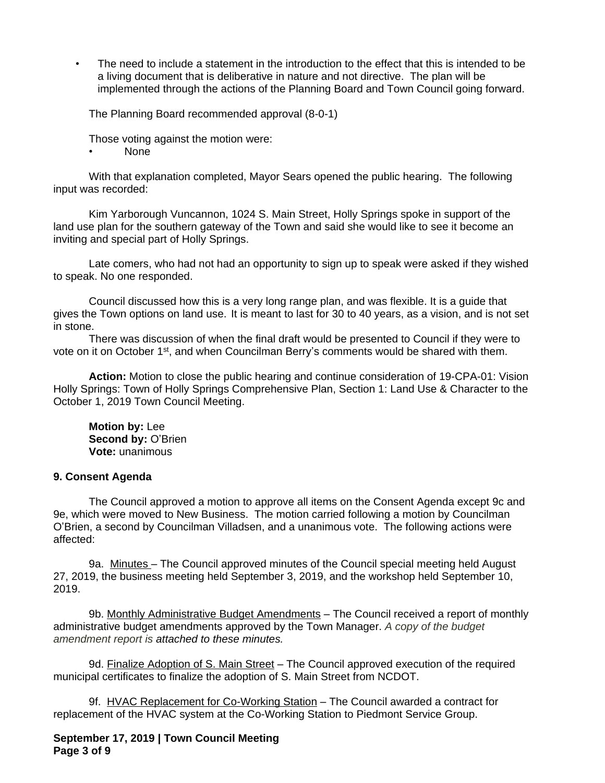• The need to include a statement in the introduction to the effect that this is intended to be a living document that is deliberative in nature and not directive. The plan will be implemented through the actions of the Planning Board and Town Council going forward.

The Planning Board recommended approval (8-0-1)

Those voting against the motion were:

• None

With that explanation completed, Mayor Sears opened the public hearing. The following input was recorded:

Kim Yarborough Vuncannon, 1024 S. Main Street, Holly Springs spoke in support of the land use plan for the southern gateway of the Town and said she would like to see it become an inviting and special part of Holly Springs.

Late comers, who had not had an opportunity to sign up to speak were asked if they wished to speak. No one responded.

Council discussed how this is a very long range plan, and was flexible. It is a guide that gives the Town options on land use. It is meant to last for 30 to 40 years, as a vision, and is not set in stone.

There was discussion of when the final draft would be presented to Council if they were to vote on it on October 1st, and when Councilman Berry's comments would be shared with them.

**Action:** Motion to close the public hearing and continue consideration of 19-CPA-01: Vision Holly Springs: Town of Holly Springs Comprehensive Plan, Section 1: Land Use & Character to the October 1, 2019 Town Council Meeting.

**Motion by:** Lee **Second by:** O'Brien **Vote:** unanimous

### **9. Consent Agenda**

The Council approved a motion to approve all items on the Consent Agenda except 9c and 9e, which were moved to New Business. The motion carried following a motion by Councilman O'Brien, a second by Councilman Villadsen, and a unanimous vote. The following actions were affected:

9a. Minutes - The Council approved minutes of the Council special meeting held August 27, 2019, the business meeting held September 3, 2019, and the workshop held September 10, 2019.

9b. Monthly Administrative Budget Amendments - The Council received a report of monthly administrative budget amendments approved by the Town Manager. *A copy of the budget amendment report is attached to these minutes.*

9d. Finalize Adoption of S. Main Street – The Council approved execution of the required municipal certificates to finalize the adoption of S. Main Street from NCDOT.

9f. HVAC Replacement for Co-Working Station – The Council awarded a contract for replacement of the HVAC system at the Co-Working Station to Piedmont Service Group.

**September 17, 2019 | Town Council Meeting Page 3 of 9**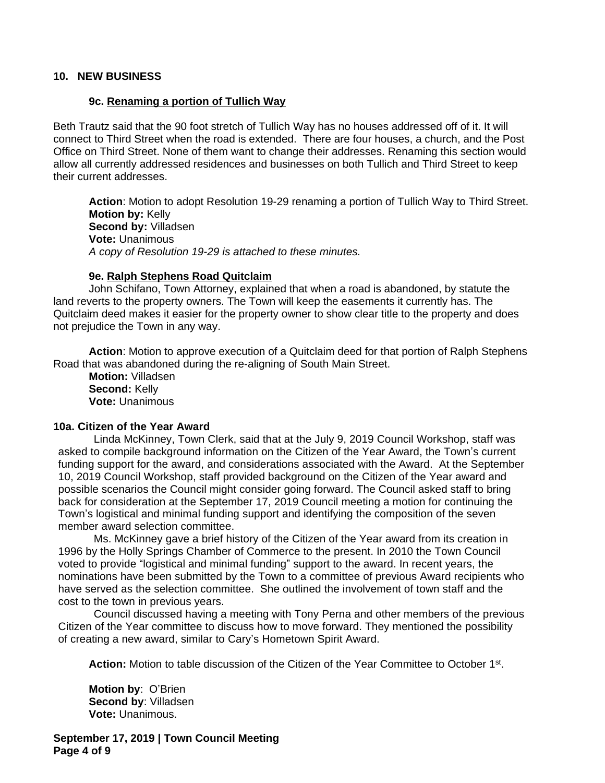### **10. NEW BUSINESS**

#### **9c. Renaming a portion of Tullich Way**

Beth Trautz said that the 90 foot stretch of Tullich Way has no houses addressed off of it. It will connect to Third Street when the road is extended. There are four houses, a church, and the Post Office on Third Street. None of them want to change their addresses. Renaming this section would allow all currently addressed residences and businesses on both Tullich and Third Street to keep their current addresses.

**Action**: Motion to adopt Resolution 19-29 renaming a portion of Tullich Way to Third Street. **Motion by:** Kelly **Second by:** Villadsen **Vote:** Unanimous *A copy of Resolution 19-29 is attached to these minutes.*

#### **9e. Ralph Stephens Road Quitclaim**

John Schifano, Town Attorney, explained that when a road is abandoned, by statute the land reverts to the property owners. The Town will keep the easements it currently has. The Quitclaim deed makes it easier for the property owner to show clear title to the property and does not prejudice the Town in any way.

**Action**: Motion to approve execution of a Quitclaim deed for that portion of Ralph Stephens Road that was abandoned during the re-aligning of South Main Street.

**Motion:** Villadsen **Second:** Kelly **Vote:** Unanimous

#### **10a. Citizen of the Year Award**

Linda McKinney, Town Clerk, said that at the July 9, 2019 Council Workshop, staff was asked to compile background information on the Citizen of the Year Award, the Town's current funding support for the award, and considerations associated with the Award. At the September 10, 2019 Council Workshop, staff provided background on the Citizen of the Year award and possible scenarios the Council might consider going forward. The Council asked staff to bring back for consideration at the September 17, 2019 Council meeting a motion for continuing the Town's logistical and minimal funding support and identifying the composition of the seven member award selection committee.

Ms. McKinney gave a brief history of the Citizen of the Year award from its creation in 1996 by the Holly Springs Chamber of Commerce to the present. In 2010 the Town Council voted to provide "logistical and minimal funding" support to the award. In recent years, the nominations have been submitted by the Town to a committee of previous Award recipients who have served as the selection committee. She outlined the involvement of town staff and the cost to the town in previous years.

Council discussed having a meeting with Tony Perna and other members of the previous Citizen of the Year committee to discuss how to move forward. They mentioned the possibility of creating a new award, similar to Cary's Hometown Spirit Award.

Action: Motion to table discussion of the Citizen of the Year Committee to October 1<sup>st</sup>.

**Motion by**: O'Brien **Second by**: Villadsen **Vote:** Unanimous.

**September 17, 2019 | Town Council Meeting Page 4 of 9**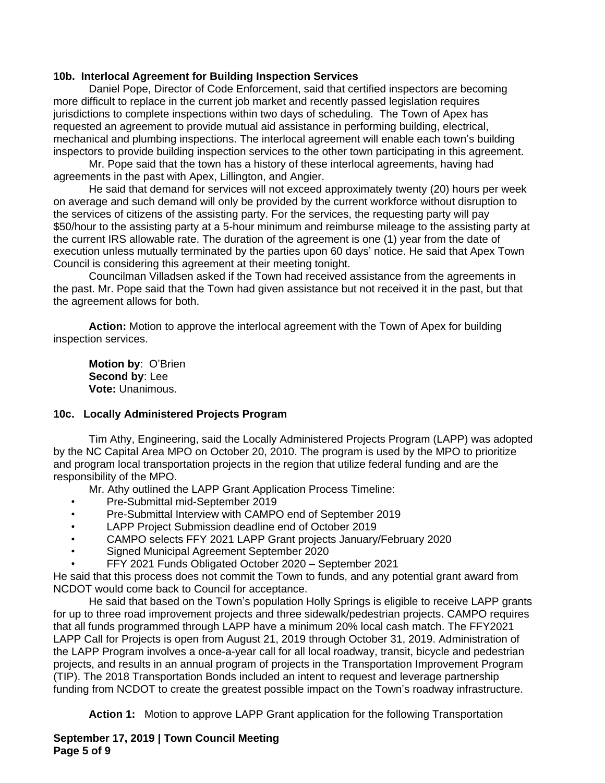## **10b. Interlocal Agreement for Building Inspection Services**

Daniel Pope, Director of Code Enforcement, said that certified inspectors are becoming more difficult to replace in the current job market and recently passed legislation requires jurisdictions to complete inspections within two days of scheduling. The Town of Apex has requested an agreement to provide mutual aid assistance in performing building, electrical, mechanical and plumbing inspections. The interlocal agreement will enable each town's building inspectors to provide building inspection services to the other town participating in this agreement.

Mr. Pope said that the town has a history of these interlocal agreements, having had agreements in the past with Apex, Lillington, and Angier.

He said that demand for services will not exceed approximately twenty (20) hours per week on average and such demand will only be provided by the current workforce without disruption to the services of citizens of the assisting party. For the services, the requesting party will pay \$50/hour to the assisting party at a 5-hour minimum and reimburse mileage to the assisting party at the current IRS allowable rate. The duration of the agreement is one (1) year from the date of execution unless mutually terminated by the parties upon 60 days' notice. He said that Apex Town Council is considering this agreement at their meeting tonight.

Councilman Villadsen asked if the Town had received assistance from the agreements in the past. Mr. Pope said that the Town had given assistance but not received it in the past, but that the agreement allows for both.

**Action:** Motion to approve the interlocal agreement with the Town of Apex for building inspection services.

**Motion by**: O'Brien **Second by**: Lee **Vote:** Unanimous.

### **10c. Locally Administered Projects Program**

Tim Athy, Engineering, said the Locally Administered Projects Program (LAPP) was adopted by the NC Capital Area MPO on October 20, 2010. The program is used by the MPO to prioritize and program local transportation projects in the region that utilize federal funding and are the responsibility of the MPO.

Mr. Athy outlined the LAPP Grant Application Process Timeline:

- Pre-Submittal mid-September 2019
- Pre-Submittal Interview with CAMPO end of September 2019
- LAPP Project Submission deadline end of October 2019
- CAMPO selects FFY 2021 LAPP Grant projects January/February 2020
- Signed Municipal Agreement September 2020
- FFY 2021 Funds Obligated October 2020 September 2021

He said that this process does not commit the Town to funds, and any potential grant award from NCDOT would come back to Council for acceptance.

He said that based on the Town's population Holly Springs is eligible to receive LAPP grants for up to three road improvement projects and three sidewalk/pedestrian projects. CAMPO requires that all funds programmed through LAPP have a minimum 20% local cash match. The FFY2021 LAPP Call for Projects is open from August 21, 2019 through October 31, 2019. Administration of the LAPP Program involves a once-a-year call for all local roadway, transit, bicycle and pedestrian projects, and results in an annual program of projects in the Transportation Improvement Program (TIP). The 2018 Transportation Bonds included an intent to request and leverage partnership funding from NCDOT to create the greatest possible impact on the Town's roadway infrastructure.

**Action 1:** Motion to approve LAPP Grant application for the following Transportation

**September 17, 2019 | Town Council Meeting Page 5 of 9**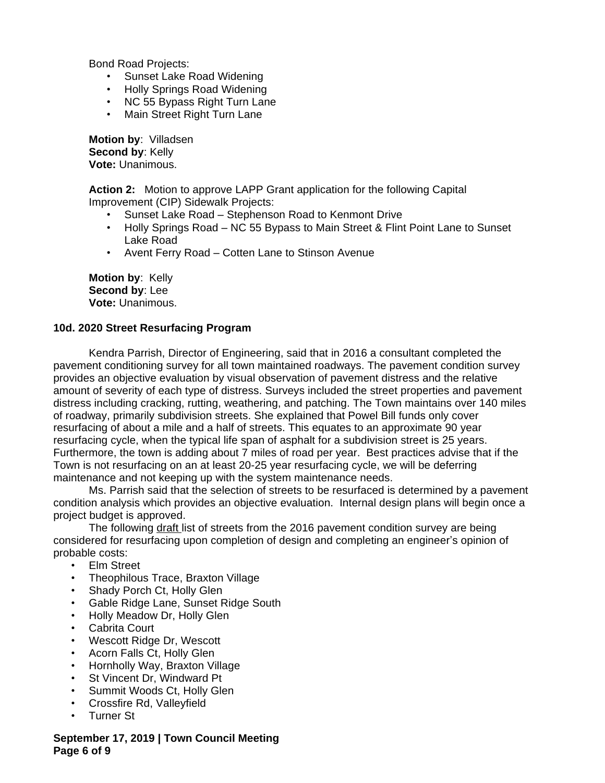Bond Road Projects:

- Sunset Lake Road Widening
- Holly Springs Road Widening
- NC 55 Bypass Right Turn Lane
- Main Street Right Turn Lane

**Motion by**: Villadsen **Second by**: Kelly **Vote:** Unanimous.

**Action 2:** Motion to approve LAPP Grant application for the following Capital Improvement (CIP) Sidewalk Projects:

- Sunset Lake Road Stephenson Road to Kenmont Drive
- Holly Springs Road NC 55 Bypass to Main Street & Flint Point Lane to Sunset Lake Road
- Avent Ferry Road Cotten Lane to Stinson Avenue

**Motion by**: Kelly **Second by**: Lee **Vote:** Unanimous.

### **10d. 2020 Street Resurfacing Program**

Kendra Parrish, Director of Engineering, said that in 2016 a consultant completed the pavement conditioning survey for all town maintained roadways. The pavement condition survey provides an objective evaluation by visual observation of pavement distress and the relative amount of severity of each type of distress. Surveys included the street properties and pavement distress including cracking, rutting, weathering, and patching. The Town maintains over 140 miles of roadway, primarily subdivision streets. She explained that Powel Bill funds only cover resurfacing of about a mile and a half of streets. This equates to an approximate 90 year resurfacing cycle, when the typical life span of asphalt for a subdivision street is 25 years. Furthermore, the town is adding about 7 miles of road per year. Best practices advise that if the Town is not resurfacing on an at least 20-25 year resurfacing cycle, we will be deferring maintenance and not keeping up with the system maintenance needs.

Ms. Parrish said that the selection of streets to be resurfaced is determined by a pavement condition analysis which provides an objective evaluation. Internal design plans will begin once a project budget is approved.

The following draft list of streets from the 2016 pavement condition survey are being considered for resurfacing upon completion of design and completing an engineer's opinion of probable costs:

- Elm Street
- Theophilous Trace, Braxton Village
- Shady Porch Ct, Holly Glen
- Gable Ridge Lane, Sunset Ridge South
- Holly Meadow Dr, Holly Glen
- Cabrita Court
- Wescott Ridge Dr, Wescott
- Acorn Falls Ct, Holly Glen
- Hornholly Way, Braxton Village
- **St Vincent Dr, Windward Pt**
- Summit Woods Ct, Holly Glen
- Crossfire Rd, Valleyfield
- Turner St

### **September 17, 2019 | Town Council Meeting Page 6 of 9**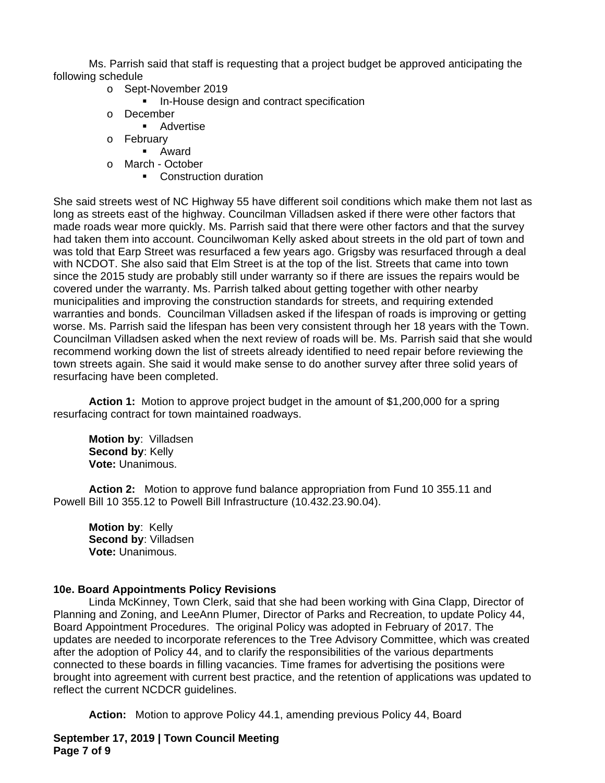Ms. Parrish said that staff is requesting that a project budget be approved anticipating the following schedule

- o Sept-November 2019
	- **I.** In-House design and contract specification
- o December
	- **Advertise**
- o February
	- Award
- o March October
	- Construction duration

She said streets west of NC Highway 55 have different soil conditions which make them not last as long as streets east of the highway. Councilman Villadsen asked if there were other factors that made roads wear more quickly. Ms. Parrish said that there were other factors and that the survey had taken them into account. Councilwoman Kelly asked about streets in the old part of town and was told that Earp Street was resurfaced a few years ago. Grigsby was resurfaced through a deal with NCDOT. She also said that Elm Street is at the top of the list. Streets that came into town since the 2015 study are probably still under warranty so if there are issues the repairs would be covered under the warranty. Ms. Parrish talked about getting together with other nearby municipalities and improving the construction standards for streets, and requiring extended warranties and bonds. Councilman Villadsen asked if the lifespan of roads is improving or getting worse. Ms. Parrish said the lifespan has been very consistent through her 18 years with the Town. Councilman Villadsen asked when the next review of roads will be. Ms. Parrish said that she would recommend working down the list of streets already identified to need repair before reviewing the town streets again. She said it would make sense to do another survey after three solid years of resurfacing have been completed.

**Action 1:** Motion to approve project budget in the amount of \$1,200,000 for a spring resurfacing contract for town maintained roadways.

**Motion by**: Villadsen **Second by**: Kelly **Vote:** Unanimous.

**Action 2:** Motion to approve fund balance appropriation from Fund 10 355.11 and Powell Bill 10 355.12 to Powell Bill Infrastructure (10.432.23.90.04).

**Motion by**: Kelly **Second by**: Villadsen **Vote:** Unanimous.

# **10e. Board Appointments Policy Revisions**

Linda McKinney, Town Clerk, said that she had been working with Gina Clapp, Director of Planning and Zoning, and LeeAnn Plumer, Director of Parks and Recreation, to update Policy 44, Board Appointment Procedures. The original Policy was adopted in February of 2017. The updates are needed to incorporate references to the Tree Advisory Committee, which was created after the adoption of Policy 44, and to clarify the responsibilities of the various departments connected to these boards in filling vacancies. Time frames for advertising the positions were brought into agreement with current best practice, and the retention of applications was updated to reflect the current NCDCR guidelines.

**Action:** Motion to approve Policy 44.1, amending previous Policy 44, Board

**September 17, 2019 | Town Council Meeting Page 7 of 9**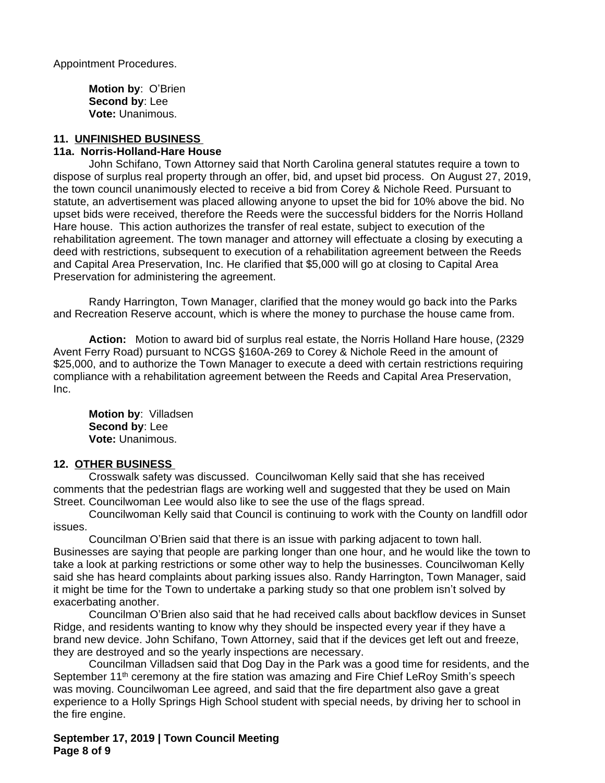Appointment Procedures.

**Motion by**: O'Brien **Second by**: Lee **Vote:** Unanimous.

### **11. UNFINISHED BUSINESS**

### **11a. Norris-Holland-Hare House**

John Schifano, Town Attorney said that North Carolina general statutes require a town to dispose of surplus real property through an offer, bid, and upset bid process. On August 27, 2019, the town council unanimously elected to receive a bid from Corey & Nichole Reed. Pursuant to statute, an advertisement was placed allowing anyone to upset the bid for 10% above the bid. No upset bids were received, therefore the Reeds were the successful bidders for the Norris Holland Hare house. This action authorizes the transfer of real estate, subject to execution of the rehabilitation agreement. The town manager and attorney will effectuate a closing by executing a deed with restrictions, subsequent to execution of a rehabilitation agreement between the Reeds and Capital Area Preservation, Inc. He clarified that \$5,000 will go at closing to Capital Area Preservation for administering the agreement.

Randy Harrington, Town Manager, clarified that the money would go back into the Parks and Recreation Reserve account, which is where the money to purchase the house came from.

**Action:** Motion to award bid of surplus real estate, the Norris Holland Hare house, (2329 Avent Ferry Road) pursuant to NCGS §160A-269 to Corey & Nichole Reed in the amount of \$25,000, and to authorize the Town Manager to execute a deed with certain restrictions requiring compliance with a rehabilitation agreement between the Reeds and Capital Area Preservation, Inc.

**Motion by**: Villadsen **Second by**: Lee **Vote:** Unanimous.

# **12. OTHER BUSINESS**

Crosswalk safety was discussed. Councilwoman Kelly said that she has received comments that the pedestrian flags are working well and suggested that they be used on Main Street. Councilwoman Lee would also like to see the use of the flags spread.

Councilwoman Kelly said that Council is continuing to work with the County on landfill odor issues.

Councilman O'Brien said that there is an issue with parking adjacent to town hall. Businesses are saying that people are parking longer than one hour, and he would like the town to take a look at parking restrictions or some other way to help the businesses. Councilwoman Kelly said she has heard complaints about parking issues also. Randy Harrington, Town Manager, said it might be time for the Town to undertake a parking study so that one problem isn't solved by exacerbating another.

Councilman O'Brien also said that he had received calls about backflow devices in Sunset Ridge, and residents wanting to know why they should be inspected every year if they have a brand new device. John Schifano, Town Attorney, said that if the devices get left out and freeze, they are destroyed and so the yearly inspections are necessary.

Councilman Villadsen said that Dog Day in the Park was a good time for residents, and the September 11<sup>th</sup> ceremony at the fire station was amazing and Fire Chief LeRoy Smith's speech was moving. Councilwoman Lee agreed, and said that the fire department also gave a great experience to a Holly Springs High School student with special needs, by driving her to school in the fire engine.

**September 17, 2019 | Town Council Meeting Page 8 of 9**